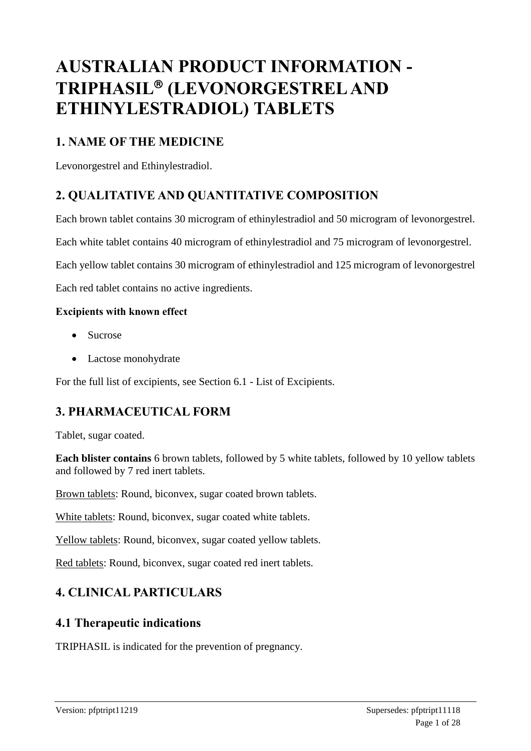# **AUSTRALIAN PRODUCT INFORMATION - TRIPHASIL (LEVONORGESTREL AND ETHINYLESTRADIOL) TABLETS**

# **1. NAME OF THE MEDICINE**

Levonorgestrel and Ethinylestradiol.

# **2. QUALITATIVE AND QUANTITATIVE COMPOSITION**

Each brown tablet contains 30 microgram of ethinylestradiol and 50 microgram of levonorgestrel.

Each white tablet contains 40 microgram of ethinylestradiol and 75 microgram of levonorgestrel.

Each yellow tablet contains 30 microgram of ethinylestradiol and 125 microgram of levonorgestrel

Each red tablet contains no active ingredients.

### **Excipients with known effect**

- Sucrose
- Lactose monohydrate

For the full list of excipients, see Section 6.1 - List of Excipients.

# **3. PHARMACEUTICAL FORM**

Tablet, sugar coated.

**Each blister contains** 6 brown tablets, followed by 5 white tablets, followed by 10 yellow tablets and followed by 7 red inert tablets.

Brown tablets: Round, biconvex, sugar coated brown tablets.

White tablets: Round, biconvex, sugar coated white tablets.

Yellow tablets: Round, biconvex, sugar coated yellow tablets.

Red tablets: Round, biconvex, sugar coated red inert tablets.

# **4. CLINICAL PARTICULARS**

### **4.1 Therapeutic indications**

TRIPHASIL is indicated for the prevention of pregnancy.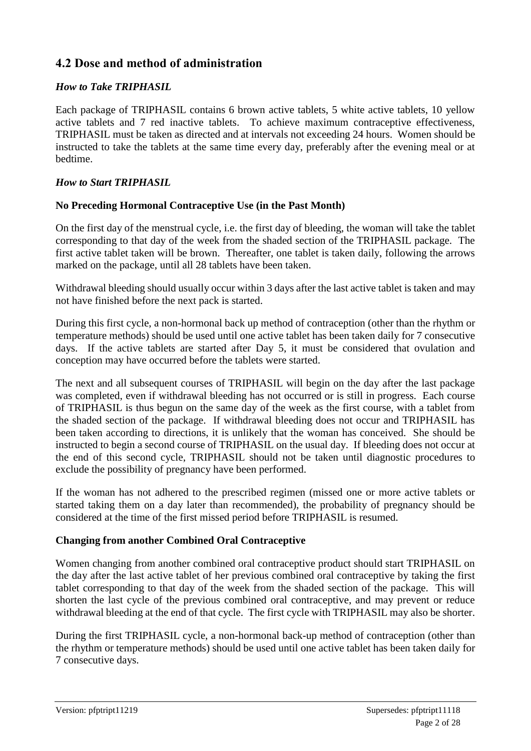### **4.2 Dose and method of administration**

### *How to Take TRIPHASIL*

Each package of TRIPHASIL contains 6 brown active tablets, 5 white active tablets, 10 yellow active tablets and 7 red inactive tablets. To achieve maximum contraceptive effectiveness, TRIPHASIL must be taken as directed and at intervals not exceeding 24 hours. Women should be instructed to take the tablets at the same time every day, preferably after the evening meal or at bedtime.

### *How to Start TRIPHASIL*

### **No Preceding Hormonal Contraceptive Use (in the Past Month)**

On the first day of the menstrual cycle, i.e. the first day of bleeding, the woman will take the tablet corresponding to that day of the week from the shaded section of the TRIPHASIL package. The first active tablet taken will be brown. Thereafter, one tablet is taken daily, following the arrows marked on the package, until all 28 tablets have been taken.

Withdrawal bleeding should usually occur within 3 days after the last active tablet is taken and may not have finished before the next pack is started.

During this first cycle, a non-hormonal back up method of contraception (other than the rhythm or temperature methods) should be used until one active tablet has been taken daily for 7 consecutive days. If the active tablets are started after Day 5, it must be considered that ovulation and conception may have occurred before the tablets were started.

The next and all subsequent courses of TRIPHASIL will begin on the day after the last package was completed, even if withdrawal bleeding has not occurred or is still in progress. Each course of TRIPHASIL is thus begun on the same day of the week as the first course, with a tablet from the shaded section of the package. If withdrawal bleeding does not occur and TRIPHASIL has been taken according to directions, it is unlikely that the woman has conceived. She should be instructed to begin a second course of TRIPHASIL on the usual day. If bleeding does not occur at the end of this second cycle, TRIPHASIL should not be taken until diagnostic procedures to exclude the possibility of pregnancy have been performed.

If the woman has not adhered to the prescribed regimen (missed one or more active tablets or started taking them on a day later than recommended), the probability of pregnancy should be considered at the time of the first missed period before TRIPHASIL is resumed.

### **Changing from another Combined Oral Contraceptive**

Women changing from another combined oral contraceptive product should start TRIPHASIL on the day after the last active tablet of her previous combined oral contraceptive by taking the first tablet corresponding to that day of the week from the shaded section of the package. This will shorten the last cycle of the previous combined oral contraceptive, and may prevent or reduce withdrawal bleeding at the end of that cycle. The first cycle with TRIPHASIL may also be shorter.

During the first TRIPHASIL cycle, a non-hormonal back-up method of contraception (other than the rhythm or temperature methods) should be used until one active tablet has been taken daily for 7 consecutive days.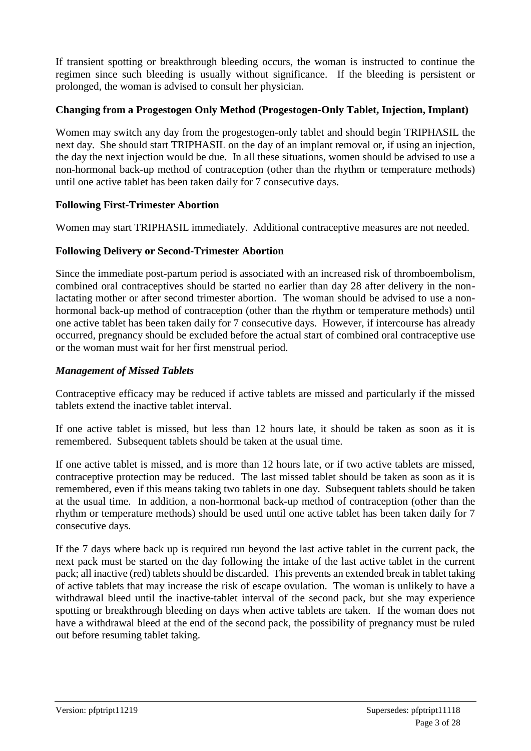If transient spotting or breakthrough bleeding occurs, the woman is instructed to continue the regimen since such bleeding is usually without significance. If the bleeding is persistent or prolonged, the woman is advised to consult her physician.

### **Changing from a Progestogen Only Method (Progestogen-Only Tablet, Injection, Implant)**

Women may switch any day from the progestogen-only tablet and should begin TRIPHASIL the next day. She should start TRIPHASIL on the day of an implant removal or, if using an injection, the day the next injection would be due. In all these situations, women should be advised to use a non-hormonal back-up method of contraception (other than the rhythm or temperature methods) until one active tablet has been taken daily for 7 consecutive days.

### **Following First-Trimester Abortion**

Women may start TRIPHASIL immediately. Additional contraceptive measures are not needed.

### **Following Delivery or Second-Trimester Abortion**

Since the immediate post-partum period is associated with an increased risk of thromboembolism, combined oral contraceptives should be started no earlier than day 28 after delivery in the nonlactating mother or after second trimester abortion. The woman should be advised to use a nonhormonal back-up method of contraception (other than the rhythm or temperature methods) until one active tablet has been taken daily for 7 consecutive days. However, if intercourse has already occurred, pregnancy should be excluded before the actual start of combined oral contraceptive use or the woman must wait for her first menstrual period.

### *Management of Missed Tablets*

Contraceptive efficacy may be reduced if active tablets are missed and particularly if the missed tablets extend the inactive tablet interval.

If one active tablet is missed, but less than 12 hours late, it should be taken as soon as it is remembered. Subsequent tablets should be taken at the usual time.

If one active tablet is missed, and is more than 12 hours late, or if two active tablets are missed, contraceptive protection may be reduced. The last missed tablet should be taken as soon as it is remembered, even if this means taking two tablets in one day. Subsequent tablets should be taken at the usual time. In addition, a non-hormonal back-up method of contraception (other than the rhythm or temperature methods) should be used until one active tablet has been taken daily for 7 consecutive days.

If the 7 days where back up is required run beyond the last active tablet in the current pack, the next pack must be started on the day following the intake of the last active tablet in the current pack; all inactive (red) tablets should be discarded. This prevents an extended break in tablet taking of active tablets that may increase the risk of escape ovulation. The woman is unlikely to have a withdrawal bleed until the inactive-tablet interval of the second pack, but she may experience spotting or breakthrough bleeding on days when active tablets are taken. If the woman does not have a withdrawal bleed at the end of the second pack, the possibility of pregnancy must be ruled out before resuming tablet taking.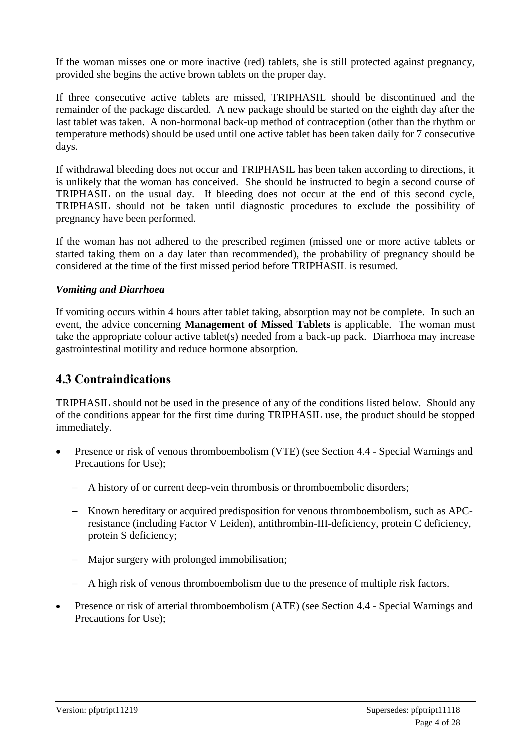If the woman misses one or more inactive (red) tablets, she is still protected against pregnancy, provided she begins the active brown tablets on the proper day.

If three consecutive active tablets are missed, TRIPHASIL should be discontinued and the remainder of the package discarded. A new package should be started on the eighth day after the last tablet was taken. A non-hormonal back-up method of contraception (other than the rhythm or temperature methods) should be used until one active tablet has been taken daily for 7 consecutive days.

If withdrawal bleeding does not occur and TRIPHASIL has been taken according to directions, it is unlikely that the woman has conceived. She should be instructed to begin a second course of TRIPHASIL on the usual day. If bleeding does not occur at the end of this second cycle, TRIPHASIL should not be taken until diagnostic procedures to exclude the possibility of pregnancy have been performed.

If the woman has not adhered to the prescribed regimen (missed one or more active tablets or started taking them on a day later than recommended), the probability of pregnancy should be considered at the time of the first missed period before TRIPHASIL is resumed.

### *Vomiting and Diarrhoea*

If vomiting occurs within 4 hours after tablet taking, absorption may not be complete. In such an event, the advice concerning **Management of Missed Tablets** is applicable. The woman must take the appropriate colour active tablet(s) needed from a back-up pack. Diarrhoea may increase gastrointestinal motility and reduce hormone absorption.

### **4.3 Contraindications**

TRIPHASIL should not be used in the presence of any of the conditions listed below. Should any of the conditions appear for the first time during TRIPHASIL use, the product should be stopped immediately.

- Presence or risk of venous thromboembolism (VTE) (see Section 4.4 Special Warnings and Precautions for Use);
	- A history of or current deep-vein thrombosis or thromboembolic disorders;
	- Known hereditary or acquired predisposition for venous thromboembolism, such as APCresistance (including Factor V Leiden), antithrombin-III-deficiency, protein C deficiency, protein S deficiency;
	- Major surgery with prolonged immobilisation;
	- A high risk of venous thromboembolism due to the presence of multiple risk factors.
- Presence or risk of arterial thromboembolism (ATE) (see Section 4.4 Special Warnings and Precautions for Use);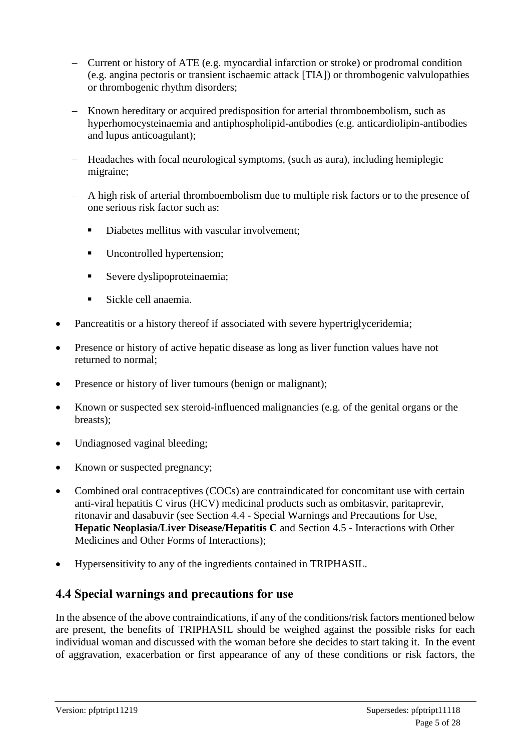- Current or history of ATE (e.g. myocardial infarction or stroke) or prodromal condition (e.g. angina pectoris or transient ischaemic attack [TIA]) or thrombogenic valvulopathies or thrombogenic rhythm disorders;
- Known hereditary or acquired predisposition for arterial thromboembolism, such as hyperhomocysteinaemia and antiphospholipid-antibodies (e.g. anticardiolipin-antibodies and lupus anticoagulant);
- Headaches with focal neurological symptoms, (such as aura), including hemiplegic migraine;
- A high risk of arterial thromboembolism due to multiple risk factors or to the presence of one serious risk factor such as:
	- Diabetes mellitus with vascular involvement;
	- **Uncontrolled hypertension;**
	- Severe dyslipoproteinaemia;
	- Sickle cell anaemia.
- Pancreatitis or a history thereof if associated with severe hypertriglyceridemia;
- Presence or history of active hepatic disease as long as liver function values have not returned to normal;
- Presence or history of liver tumours (benign or malignant);
- Known or suspected sex steroid-influenced malignancies (e.g. of the genital organs or the breasts);
- Undiagnosed vaginal bleeding;
- Known or suspected pregnancy;
- Combined oral contraceptives (COCs) are contraindicated for concomitant use with certain anti-viral hepatitis C virus (HCV) medicinal products such as ombitasvir, paritaprevir, ritonavir and dasabuvir (see Section 4.4 - Special Warnings and Precautions for Use, **Hepatic Neoplasia/Liver Disease/Hepatitis C** and Section 4.5 - Interactions with Other Medicines and Other Forms of Interactions);
- Hypersensitivity to any of the ingredients contained in TRIPHASIL.

# **4.4 Special warnings and precautions for use**

In the absence of the above contraindications, if any of the conditions/risk factors mentioned below are present, the benefits of TRIPHASIL should be weighed against the possible risks for each individual woman and discussed with the woman before she decides to start taking it. In the event of aggravation, exacerbation or first appearance of any of these conditions or risk factors, the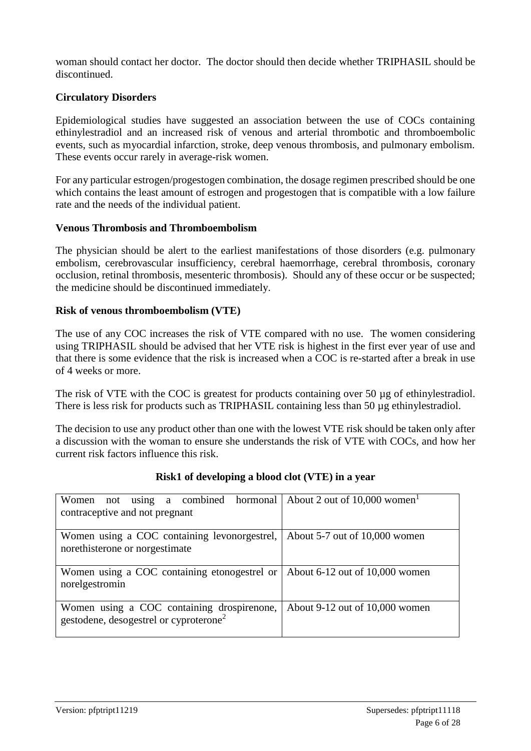woman should contact her doctor. The doctor should then decide whether TRIPHASIL should be discontinued.

### **Circulatory Disorders**

Epidemiological studies have suggested an association between the use of COCs containing ethinylestradiol and an increased risk of venous and arterial thrombotic and thromboembolic events, such as myocardial infarction, stroke, deep venous thrombosis, and pulmonary embolism. These events occur rarely in average-risk women.

For any particular estrogen/progestogen combination, the dosage regimen prescribed should be one which contains the least amount of estrogen and progestogen that is compatible with a low failure rate and the needs of the individual patient.

#### **Venous Thrombosis and Thromboembolism**

The physician should be alert to the earliest manifestations of those disorders (e.g. pulmonary embolism, cerebrovascular insufficiency, cerebral haemorrhage, cerebral thrombosis, coronary occlusion, retinal thrombosis, mesenteric thrombosis). Should any of these occur or be suspected; the medicine should be discontinued immediately.

#### **Risk of venous thromboembolism (VTE)**

The use of any COC increases the risk of VTE compared with no use. The women considering using TRIPHASIL should be advised that her VTE risk is highest in the first ever year of use and that there is some evidence that the risk is increased when a COC is re-started after a break in use of 4 weeks or more.

The risk of VTE with the COC is greatest for products containing over 50 µg of ethinylestradiol. There is less risk for products such as TRIPHASIL containing less than 50 µg ethinylestradiol.

The decision to use any product other than one with the lowest VTE risk should be taken only after a discussion with the woman to ensure she understands the risk of VTE with COCs, and how her current risk factors influence this risk.

| Women not using a combined hormonal About 2 out of 10,000 women |                                    |
|-----------------------------------------------------------------|------------------------------------|
| contraceptive and not pregnant                                  |                                    |
|                                                                 |                                    |
| Women using a COC containing levonorgestrel,                    | About 5-7 out of 10,000 women      |
| norethisterone or norgestimate                                  |                                    |
|                                                                 |                                    |
| Women using a COC containing etonogestrel or<br>norelgestromin  | About $6-12$ out of $10,000$ women |
|                                                                 |                                    |
|                                                                 |                                    |
| Women using a COC containing drospirenone,                      | About $9-12$ out of $10,000$ women |
| gestodene, desogestrel or cyproterone <sup>2</sup>              |                                    |
|                                                                 |                                    |

### **Risk1 of developing a blood clot (VTE) in a year**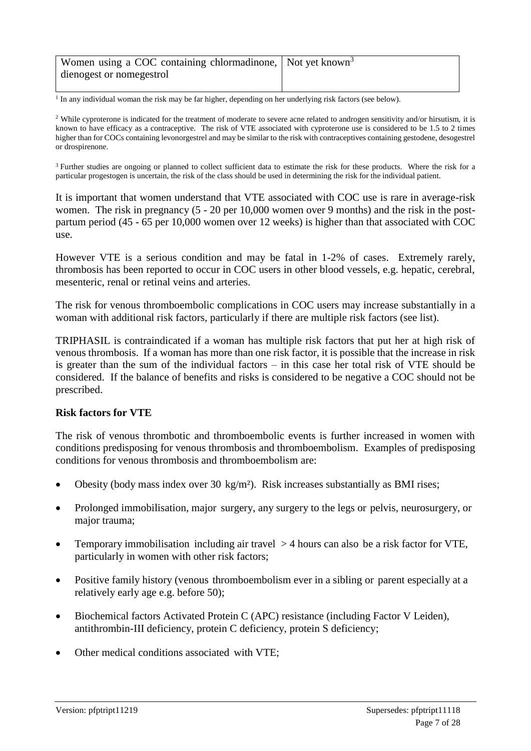| Women using a COC containing chlormadinone, Not yet known <sup>3</sup> |  |
|------------------------------------------------------------------------|--|
| dienogest or nomegestrol                                               |  |
|                                                                        |  |

<sup>1</sup> In any individual woman the risk may be far higher, depending on her underlying risk factors (see below).

<sup>2</sup> While cyproterone is indicated for the treatment of moderate to severe acne related to androgen sensitivity and/or hirsutism, it is known to have efficacy as a contraceptive. The risk of VTE associated with cyproterone use is considered to be 1.5 to 2 times higher than for COCs containing levonorgestrel and may be similar to the risk with contraceptives containing gestodene, desogestrel or drospirenone.

<sup>3</sup> Further studies are ongoing or planned to collect sufficient data to estimate the risk for these products. Where the risk for a particular progestogen is uncertain, the risk of the class should be used in determining the risk for the individual patient.

It is important that women understand that VTE associated with COC use is rare in average-risk women. The risk in pregnancy (5 - 20 per 10,000 women over 9 months) and the risk in the postpartum period (45 - 65 per 10,000 women over 12 weeks) is higher than that associated with COC use.

However VTE is a serious condition and may be fatal in 1-2% of cases. Extremely rarely, thrombosis has been reported to occur in COC users in other blood vessels, e.g. hepatic, cerebral, mesenteric, renal or retinal veins and arteries.

The risk for venous thromboembolic complications in COC users may increase substantially in a woman with additional risk factors, particularly if there are multiple risk factors (see list).

TRIPHASIL is contraindicated if a woman has multiple risk factors that put her at high risk of venous thrombosis. If a woman has more than one risk factor, it is possible that the increase in risk is greater than the sum of the individual factors – in this case her total risk of VTE should be considered. If the balance of benefits and risks is considered to be negative a COC should not be prescribed.

#### **Risk factors for VTE**

The risk of venous thrombotic and thromboembolic events is further increased in women with conditions predisposing for venous thrombosis and thromboembolism. Examples of predisposing conditions for venous thrombosis and thromboembolism are:

- Obesity (body mass index over 30 kg/m²). Risk increases substantially as BMI rises;
- Prolonged immobilisation, major surgery, any surgery to the legs or pelvis, neurosurgery, or major trauma;
- Temporary immobilisation including air travel > 4 hours can also be a risk factor for VTE, particularly in women with other risk factors;
- Positive family history (venous thromboembolism ever in a sibling or parent especially at a relatively early age e.g. before 50);
- Biochemical factors Activated Protein C (APC) resistance (including Factor V Leiden), antithrombin-III deficiency, protein C deficiency, protein S deficiency;
- Other medical conditions associated with VTE;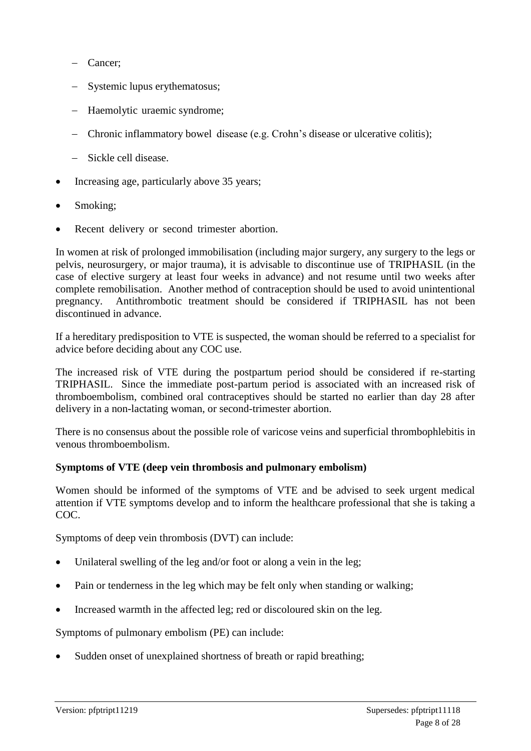- Cancer;
- Systemic lupus erythematosus;
- Haemolytic uraemic syndrome;
- Chronic inflammatory bowel disease (e.g. Crohn's disease or ulcerative colitis);
- Sickle cell disease.
- Increasing age, particularly above 35 years;
- Smoking:
- Recent delivery or second trimester abortion.

In women at risk of prolonged immobilisation (including major surgery, any surgery to the legs or pelvis, neurosurgery, or major trauma), it is advisable to discontinue use of TRIPHASIL (in the case of elective surgery at least four weeks in advance) and not resume until two weeks after complete remobilisation. Another method of contraception should be used to avoid unintentional pregnancy. Antithrombotic treatment should be considered if TRIPHASIL has not been discontinued in advance.

If a hereditary predisposition to VTE is suspected, the woman should be referred to a specialist for advice before deciding about any COC use.

The increased risk of VTE during the postpartum period should be considered if re-starting TRIPHASIL. Since the immediate post-partum period is associated with an increased risk of thromboembolism, combined oral contraceptives should be started no earlier than day 28 after delivery in a non-lactating woman, or second-trimester abortion.

There is no consensus about the possible role of varicose veins and superficial thrombophlebitis in venous thromboembolism.

### **Symptoms of VTE (deep vein thrombosis and pulmonary embolism)**

Women should be informed of the symptoms of VTE and be advised to seek urgent medical attention if VTE symptoms develop and to inform the healthcare professional that she is taking a COC.

Symptoms of deep vein thrombosis (DVT) can include:

- Unilateral swelling of the leg and/or foot or along a vein in the leg;
- Pain or tenderness in the leg which may be felt only when standing or walking;
- Increased warmth in the affected leg; red or discoloured skin on the leg.

Symptoms of pulmonary embolism (PE) can include:

Sudden onset of unexplained shortness of breath or rapid breathing;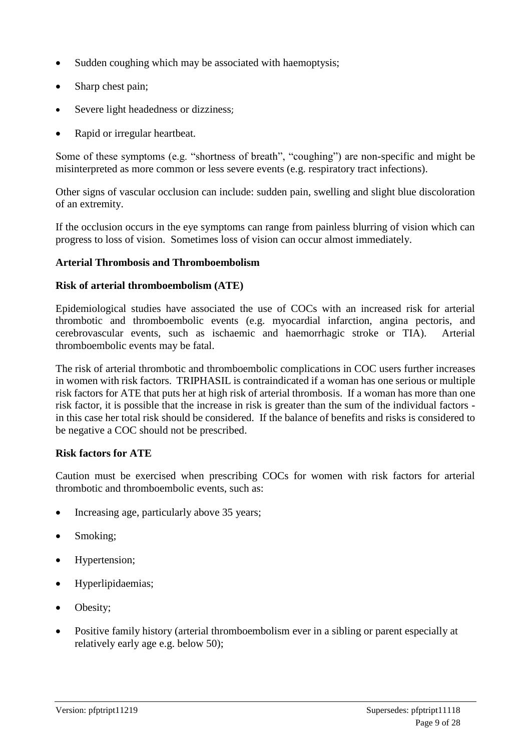- Sudden coughing which may be associated with haemoptysis;
- Sharp chest pain;
- Severe light headedness or dizziness;
- Rapid or irregular heartbeat.

Some of these symptoms (e.g. "shortness of breath", "coughing") are non-specific and might be misinterpreted as more common or less severe events (e.g. respiratory tract infections).

Other signs of vascular occlusion can include: sudden pain, swelling and slight blue discoloration of an extremity.

If the occlusion occurs in the eye symptoms can range from painless blurring of vision which can progress to loss of vision. Sometimes loss of vision can occur almost immediately.

### **Arterial Thrombosis and Thromboembolism**

### **Risk of arterial thromboembolism (ATE)**

Epidemiological studies have associated the use of COCs with an increased risk for arterial thrombotic and thromboembolic events (e.g. myocardial infarction, angina pectoris, and cerebrovascular events, such as ischaemic and haemorrhagic stroke or TIA). Arterial thromboembolic events may be fatal.

The risk of arterial thrombotic and thromboembolic complications in COC users further increases in women with risk factors. TRIPHASIL is contraindicated if a woman has one serious or multiple risk factors for ATE that puts her at high risk of arterial thrombosis. If a woman has more than one risk factor, it is possible that the increase in risk is greater than the sum of the individual factors in this case her total risk should be considered. If the balance of benefits and risks is considered to be negative a COC should not be prescribed.

### **Risk factors for ATE**

Caution must be exercised when prescribing COCs for women with risk factors for arterial thrombotic and thromboembolic events, such as:

- Increasing age, particularly above 35 years;
- Smoking;
- Hypertension;
- Hyperlipidaemias;
- Obesity;
- Positive family history (arterial thromboembolism ever in a sibling or parent especially at relatively early age e.g. below 50);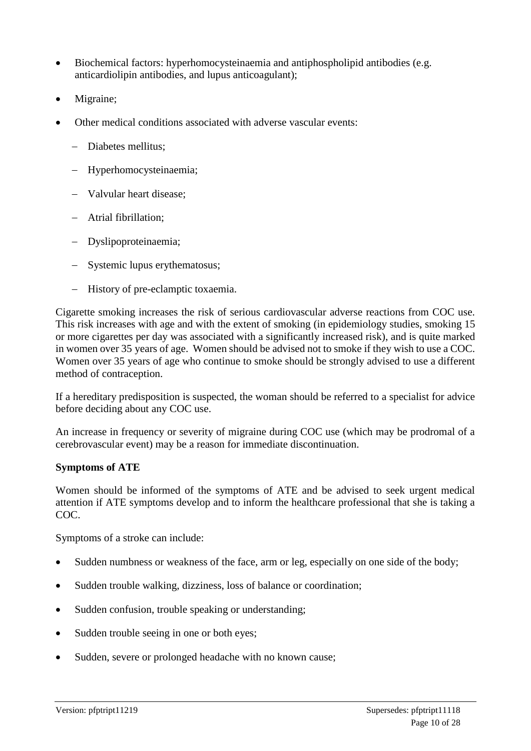- Biochemical factors: hyperhomocysteinaemia and antiphospholipid antibodies (e.g. anticardiolipin antibodies, and lupus anticoagulant);
- Migraine;
- Other medical conditions associated with adverse vascular events:
	- Diabetes mellitus:
	- Hyperhomocysteinaemia;
	- Valvular heart disease:
	- Atrial fibrillation;
	- Dyslipoproteinaemia;
	- Systemic lupus erythematosus;
	- History of pre-eclamptic toxaemia.

Cigarette smoking increases the risk of serious cardiovascular adverse reactions from COC use. This risk increases with age and with the extent of smoking (in epidemiology studies, smoking 15 or more cigarettes per day was associated with a significantly increased risk), and is quite marked in women over 35 years of age. Women should be advised not to smoke if they wish to use a COC. Women over 35 years of age who continue to smoke should be strongly advised to use a different method of contraception.

If a hereditary predisposition is suspected, the woman should be referred to a specialist for advice before deciding about any COC use.

An increase in frequency or severity of migraine during COC use (which may be prodromal of a cerebrovascular event) may be a reason for immediate discontinuation.

### **Symptoms of ATE**

Women should be informed of the symptoms of ATE and be advised to seek urgent medical attention if ATE symptoms develop and to inform the healthcare professional that she is taking a COC.

Symptoms of a stroke can include:

- Sudden numbness or weakness of the face, arm or leg, especially on one side of the body;
- Sudden trouble walking, dizziness, loss of balance or coordination;
- Sudden confusion, trouble speaking or understanding;
- Sudden trouble seeing in one or both eyes;
- Sudden, severe or prolonged headache with no known cause;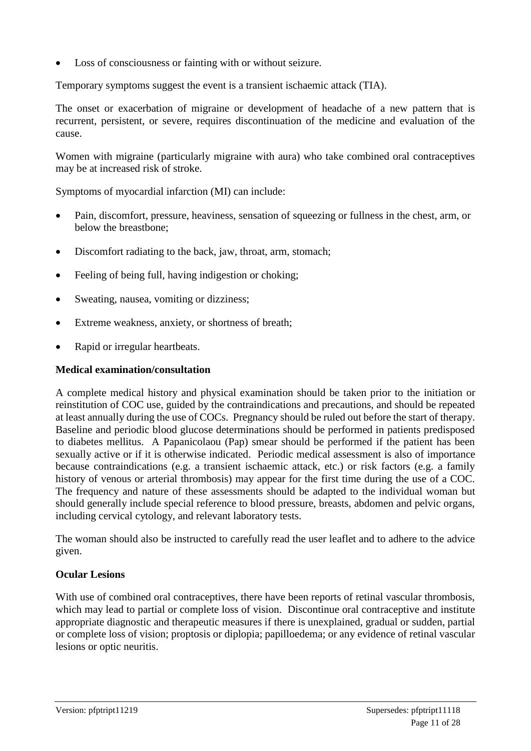Loss of consciousness or fainting with or without seizure.

Temporary symptoms suggest the event is a transient ischaemic attack (TIA).

The onset or exacerbation of migraine or development of headache of a new pattern that is recurrent, persistent, or severe, requires discontinuation of the medicine and evaluation of the cause.

Women with migraine (particularly migraine with aura) who take combined oral contraceptives may be at increased risk of stroke.

Symptoms of myocardial infarction (MI) can include:

- Pain, discomfort, pressure, heaviness, sensation of squeezing or fullness in the chest, arm, or below the breastbone;
- Discomfort radiating to the back, jaw, throat, arm, stomach;
- Feeling of being full, having indigestion or choking;
- Sweating, nausea, vomiting or dizziness;
- Extreme weakness, anxiety, or shortness of breath;
- Rapid or irregular heartbeats.

### **Medical examination/consultation**

A complete medical history and physical examination should be taken prior to the initiation or reinstitution of COC use, guided by the contraindications and precautions, and should be repeated at least annually during the use of COCs. Pregnancy should be ruled out before the start of therapy. Baseline and periodic blood glucose determinations should be performed in patients predisposed to diabetes mellitus. A Papanicolaou (Pap) smear should be performed if the patient has been sexually active or if it is otherwise indicated. Periodic medical assessment is also of importance because contraindications (e.g. a transient ischaemic attack, etc.) or risk factors (e.g. a family history of venous or arterial thrombosis) may appear for the first time during the use of a COC. The frequency and nature of these assessments should be adapted to the individual woman but should generally include special reference to blood pressure, breasts, abdomen and pelvic organs, including cervical cytology, and relevant laboratory tests.

The woman should also be instructed to carefully read the user leaflet and to adhere to the advice given.

### **Ocular Lesions**

With use of combined oral contraceptives, there have been reports of retinal vascular thrombosis, which may lead to partial or complete loss of vision. Discontinue oral contraceptive and institute appropriate diagnostic and therapeutic measures if there is unexplained, gradual or sudden, partial or complete loss of vision; proptosis or diplopia; papilloedema; or any evidence of retinal vascular lesions or optic neuritis.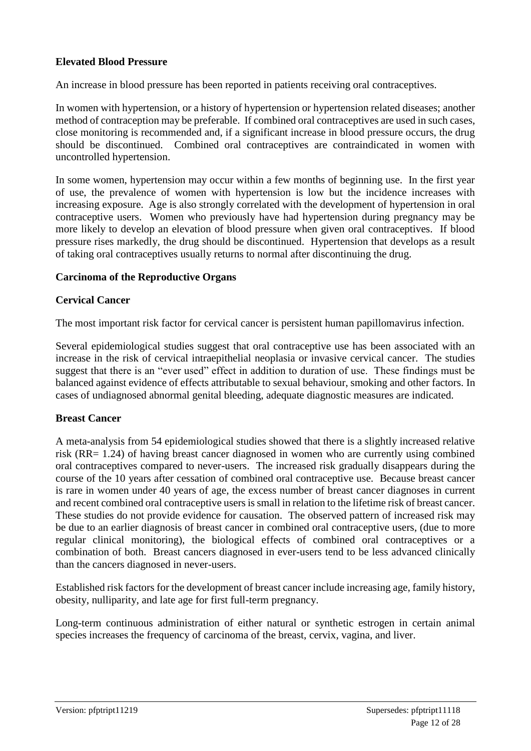### **Elevated Blood Pressure**

An increase in blood pressure has been reported in patients receiving oral contraceptives.

In women with hypertension, or a history of hypertension or hypertension related diseases; another method of contraception may be preferable. If combined oral contraceptives are used in such cases, close monitoring is recommended and, if a significant increase in blood pressure occurs, the drug should be discontinued. Combined oral contraceptives are contraindicated in women with uncontrolled hypertension.

In some women, hypertension may occur within a few months of beginning use. In the first year of use, the prevalence of women with hypertension is low but the incidence increases with increasing exposure. Age is also strongly correlated with the development of hypertension in oral contraceptive users. Women who previously have had hypertension during pregnancy may be more likely to develop an elevation of blood pressure when given oral contraceptives. If blood pressure rises markedly, the drug should be discontinued. Hypertension that develops as a result of taking oral contraceptives usually returns to normal after discontinuing the drug.

### **Carcinoma of the Reproductive Organs**

### **Cervical Cancer**

The most important risk factor for cervical cancer is persistent human papillomavirus infection.

Several epidemiological studies suggest that oral contraceptive use has been associated with an increase in the risk of cervical intraepithelial neoplasia or invasive cervical cancer. The studies suggest that there is an "ever used" effect in addition to duration of use. These findings must be balanced against evidence of effects attributable to sexual behaviour, smoking and other factors. In cases of undiagnosed abnormal genital bleeding, adequate diagnostic measures are indicated.

### **Breast Cancer**

A meta-analysis from 54 epidemiological studies showed that there is a slightly increased relative risk (RR= 1.24) of having breast cancer diagnosed in women who are currently using combined oral contraceptives compared to never-users. The increased risk gradually disappears during the course of the 10 years after cessation of combined oral contraceptive use. Because breast cancer is rare in women under 40 years of age, the excess number of breast cancer diagnoses in current and recent combined oral contraceptive users is small in relation to the lifetime risk of breast cancer. These studies do not provide evidence for causation. The observed pattern of increased risk may be due to an earlier diagnosis of breast cancer in combined oral contraceptive users, (due to more regular clinical monitoring), the biological effects of combined oral contraceptives or a combination of both. Breast cancers diagnosed in ever-users tend to be less advanced clinically than the cancers diagnosed in never-users.

Established risk factors for the development of breast cancer include increasing age, family history, obesity, nulliparity, and late age for first full-term pregnancy.

Long-term continuous administration of either natural or synthetic estrogen in certain animal species increases the frequency of carcinoma of the breast, cervix, vagina, and liver.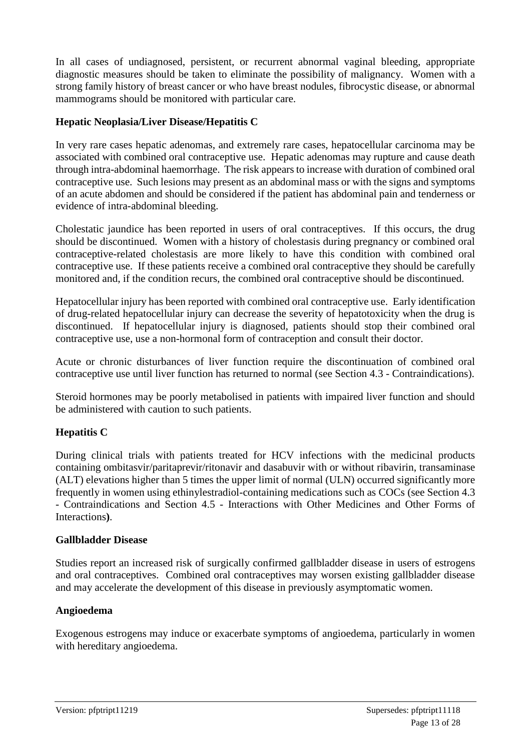In all cases of undiagnosed, persistent, or recurrent abnormal vaginal bleeding, appropriate diagnostic measures should be taken to eliminate the possibility of malignancy. Women with a strong family history of breast cancer or who have breast nodules, fibrocystic disease, or abnormal mammograms should be monitored with particular care.

### **Hepatic Neoplasia/Liver Disease/Hepatitis C**

In very rare cases hepatic adenomas, and extremely rare cases, hepatocellular carcinoma may be associated with combined oral contraceptive use. Hepatic adenomas may rupture and cause death through intra-abdominal haemorrhage. The risk appears to increase with duration of combined oral contraceptive use. Such lesions may present as an abdominal mass or with the signs and symptoms of an acute abdomen and should be considered if the patient has abdominal pain and tenderness or evidence of intra-abdominal bleeding.

Cholestatic jaundice has been reported in users of oral contraceptives. If this occurs, the drug should be discontinued. Women with a history of cholestasis during pregnancy or combined oral contraceptive-related cholestasis are more likely to have this condition with combined oral contraceptive use. If these patients receive a combined oral contraceptive they should be carefully monitored and, if the condition recurs, the combined oral contraceptive should be discontinued.

Hepatocellular injury has been reported with combined oral contraceptive use. Early identification of drug-related hepatocellular injury can decrease the severity of hepatotoxicity when the drug is discontinued. If hepatocellular injury is diagnosed, patients should stop their combined oral contraceptive use, use a non-hormonal form of contraception and consult their doctor.

Acute or chronic disturbances of liver function require the discontinuation of combined oral contraceptive use until liver function has returned to normal (see Section 4.3 - Contraindications).

Steroid hormones may be poorly metabolised in patients with impaired liver function and should be administered with caution to such patients.

### **Hepatitis C**

During clinical trials with patients treated for HCV infections with the medicinal products containing ombitasvir/paritaprevir/ritonavir and dasabuvir with or without ribavirin, transaminase (ALT) elevations higher than 5 times the upper limit of normal (ULN) occurred significantly more frequently in women using ethinylestradiol-containing medications such as COCs (see Section 4.3 - Contraindications and Section 4.5 - Interactions with Other Medicines and Other Forms of Interactions**)**.

### **Gallbladder Disease**

Studies report an increased risk of surgically confirmed gallbladder disease in users of estrogens and oral contraceptives. Combined oral contraceptives may worsen existing gallbladder disease and may accelerate the development of this disease in previously asymptomatic women.

### **Angioedema**

Exogenous estrogens may induce or exacerbate symptoms of angioedema, particularly in women with hereditary angioedema.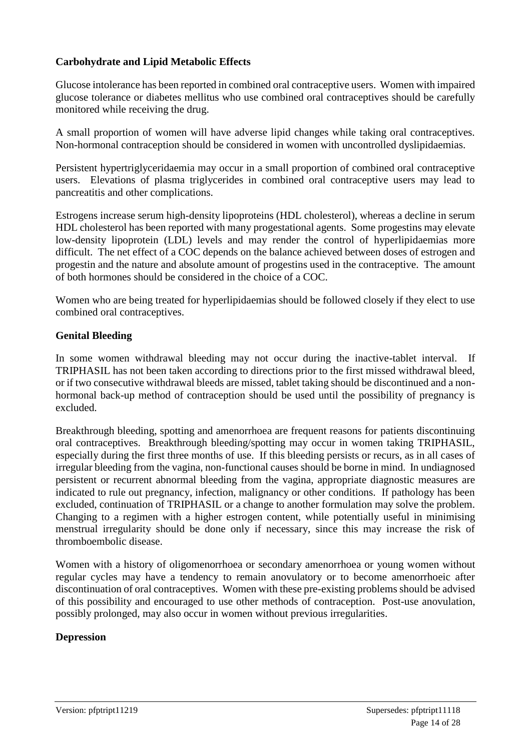### **Carbohydrate and Lipid Metabolic Effects**

Glucose intolerance has been reported in combined oral contraceptive users. Women with impaired glucose tolerance or diabetes mellitus who use combined oral contraceptives should be carefully monitored while receiving the drug.

A small proportion of women will have adverse lipid changes while taking oral contraceptives. Non-hormonal contraception should be considered in women with uncontrolled dyslipidaemias.

Persistent hypertriglyceridaemia may occur in a small proportion of combined oral contraceptive users. Elevations of plasma triglycerides in combined oral contraceptive users may lead to pancreatitis and other complications.

Estrogens increase serum high-density lipoproteins (HDL cholesterol), whereas a decline in serum HDL cholesterol has been reported with many progestational agents. Some progestins may elevate low-density lipoprotein (LDL) levels and may render the control of hyperlipidaemias more difficult. The net effect of a COC depends on the balance achieved between doses of estrogen and progestin and the nature and absolute amount of progestins used in the contraceptive. The amount of both hormones should be considered in the choice of a COC.

Women who are being treated for hyperlipidaemias should be followed closely if they elect to use combined oral contraceptives.

### **Genital Bleeding**

In some women withdrawal bleeding may not occur during the inactive-tablet interval. If TRIPHASIL has not been taken according to directions prior to the first missed withdrawal bleed, or if two consecutive withdrawal bleeds are missed, tablet taking should be discontinued and a nonhormonal back-up method of contraception should be used until the possibility of pregnancy is excluded.

Breakthrough bleeding, spotting and amenorrhoea are frequent reasons for patients discontinuing oral contraceptives. Breakthrough bleeding/spotting may occur in women taking TRIPHASIL, especially during the first three months of use. If this bleeding persists or recurs, as in all cases of irregular bleeding from the vagina, non-functional causes should be borne in mind. In undiagnosed persistent or recurrent abnormal bleeding from the vagina, appropriate diagnostic measures are indicated to rule out pregnancy, infection, malignancy or other conditions. If pathology has been excluded, continuation of TRIPHASIL or a change to another formulation may solve the problem. Changing to a regimen with a higher estrogen content, while potentially useful in minimising menstrual irregularity should be done only if necessary, since this may increase the risk of thromboembolic disease.

Women with a history of oligomenorrhoea or secondary amenorrhoea or young women without regular cycles may have a tendency to remain anovulatory or to become amenorrhoeic after discontinuation of oral contraceptives. Women with these pre-existing problems should be advised of this possibility and encouraged to use other methods of contraception. Post-use anovulation, possibly prolonged, may also occur in women without previous irregularities.

### **Depression**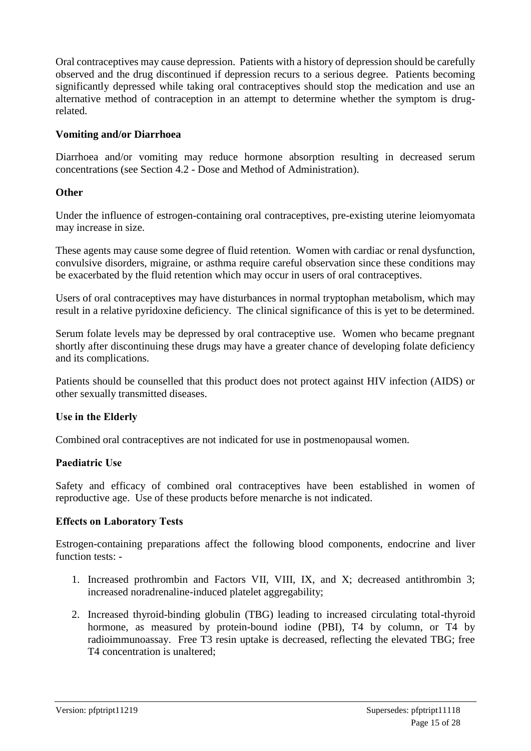Oral contraceptives may cause depression. Patients with a history of depression should be carefully observed and the drug discontinued if depression recurs to a serious degree. Patients becoming significantly depressed while taking oral contraceptives should stop the medication and use an alternative method of contraception in an attempt to determine whether the symptom is drugrelated.

### **Vomiting and/or Diarrhoea**

Diarrhoea and/or vomiting may reduce hormone absorption resulting in decreased serum concentrations (see Section 4.2 - Dose and Method of Administration).

### **Other**

Under the influence of estrogen-containing oral contraceptives, pre-existing uterine leiomyomata may increase in size.

These agents may cause some degree of fluid retention. Women with cardiac or renal dysfunction, convulsive disorders, migraine, or asthma require careful observation since these conditions may be exacerbated by the fluid retention which may occur in users of oral contraceptives.

Users of oral contraceptives may have disturbances in normal tryptophan metabolism, which may result in a relative pyridoxine deficiency. The clinical significance of this is yet to be determined.

Serum folate levels may be depressed by oral contraceptive use. Women who became pregnant shortly after discontinuing these drugs may have a greater chance of developing folate deficiency and its complications.

Patients should be counselled that this product does not protect against HIV infection (AIDS) or other sexually transmitted diseases.

### **Use in the Elderly**

Combined oral contraceptives are not indicated for use in postmenopausal women.

### **Paediatric Use**

Safety and efficacy of combined oral contraceptives have been established in women of reproductive age. Use of these products before menarche is not indicated.

### **Effects on Laboratory Tests**

Estrogen-containing preparations affect the following blood components, endocrine and liver function tests: -

- 1. Increased prothrombin and Factors VII, VIII, IX, and X; decreased antithrombin 3; increased noradrenaline-induced platelet aggregability;
- 2. Increased thyroid-binding globulin (TBG) leading to increased circulating total-thyroid hormone, as measured by protein-bound iodine (PBI), T4 by column, or T4 by radioimmunoassay. Free T3 resin uptake is decreased, reflecting the elevated TBG; free T4 concentration is unaltered;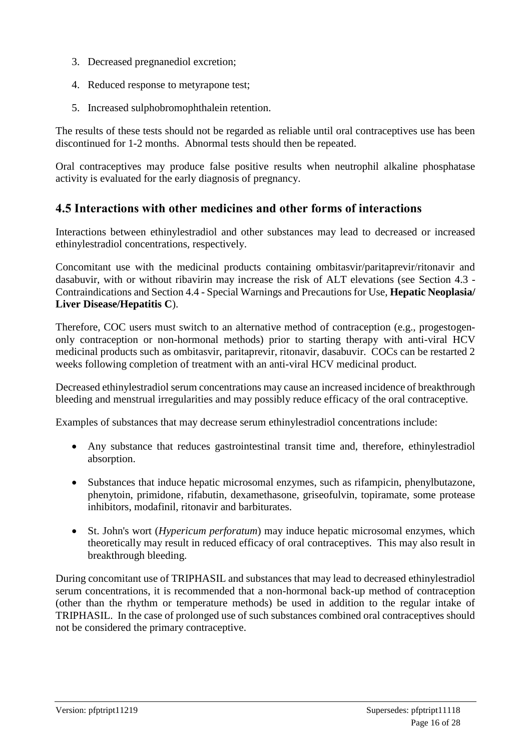- 3. Decreased pregnanediol excretion;
- 4. Reduced response to metyrapone test;
- 5. Increased sulphobromophthalein retention.

The results of these tests should not be regarded as reliable until oral contraceptives use has been discontinued for 1-2 months. Abnormal tests should then be repeated.

Oral contraceptives may produce false positive results when neutrophil alkaline phosphatase activity is evaluated for the early diagnosis of pregnancy.

### **4.5 Interactions with other medicines and other forms of interactions**

Interactions between ethinylestradiol and other substances may lead to decreased or increased ethinylestradiol concentrations, respectively.

Concomitant use with the medicinal products containing ombitasvir/paritaprevir/ritonavir and dasabuvir, with or without ribavirin may increase the risk of ALT elevations (see Section 4.3 - Contraindications and Section 4.4 - Special Warnings and Precautions for Use, **Hepatic Neoplasia/ Liver Disease/Hepatitis C**).

Therefore, COC users must switch to an alternative method of contraception (e.g., progestogenonly contraception or non-hormonal methods) prior to starting therapy with anti-viral HCV medicinal products such as ombitasvir, paritaprevir, ritonavir, dasabuvir. COCs can be restarted 2 weeks following completion of treatment with an anti-viral HCV medicinal product.

Decreased ethinylestradiol serum concentrations may cause an increased incidence of breakthrough bleeding and menstrual irregularities and may possibly reduce efficacy of the oral contraceptive.

Examples of substances that may decrease serum ethinylestradiol concentrations include:

- Any substance that reduces gastrointestinal transit time and, therefore, ethinylestradiol absorption.
- Substances that induce hepatic microsomal enzymes, such as rifampicin, phenylbutazone, phenytoin, primidone, rifabutin, dexamethasone, griseofulvin, topiramate, some protease inhibitors, modafinil, ritonavir and barbiturates.
- St. John's wort (*Hypericum perforatum*) may induce hepatic microsomal enzymes, which theoretically may result in reduced efficacy of oral contraceptives. This may also result in breakthrough bleeding.

During concomitant use of TRIPHASIL and substances that may lead to decreased ethinylestradiol serum concentrations, it is recommended that a non-hormonal back-up method of contraception (other than the rhythm or temperature methods) be used in addition to the regular intake of TRIPHASIL. In the case of prolonged use of such substances combined oral contraceptives should not be considered the primary contraceptive.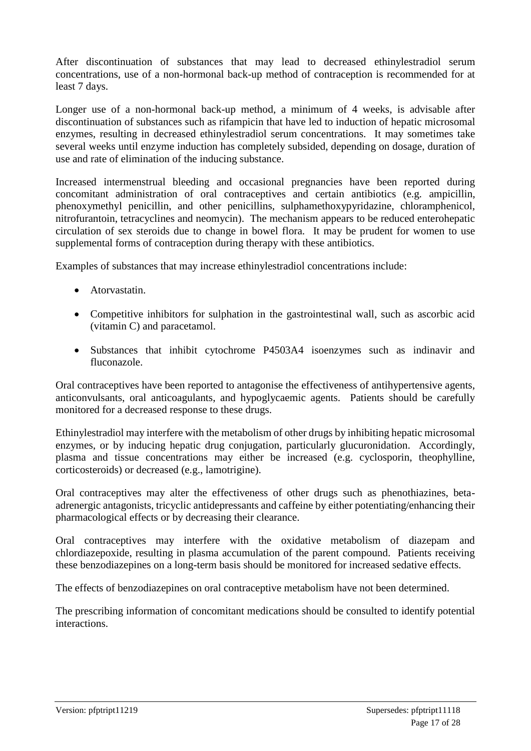After discontinuation of substances that may lead to decreased ethinylestradiol serum concentrations, use of a non-hormonal back-up method of contraception is recommended for at least 7 days.

Longer use of a non-hormonal back-up method, a minimum of 4 weeks, is advisable after discontinuation of substances such as rifampicin that have led to induction of hepatic microsomal enzymes, resulting in decreased ethinylestradiol serum concentrations. It may sometimes take several weeks until enzyme induction has completely subsided, depending on dosage, duration of use and rate of elimination of the inducing substance.

Increased intermenstrual bleeding and occasional pregnancies have been reported during concomitant administration of oral contraceptives and certain antibiotics (e.g. ampicillin, phenoxymethyl penicillin, and other penicillins, sulphamethoxypyridazine, chloramphenicol, nitrofurantoin, tetracyclines and neomycin). The mechanism appears to be reduced enterohepatic circulation of sex steroids due to change in bowel flora. It may be prudent for women to use supplemental forms of contraception during therapy with these antibiotics.

Examples of substances that may increase ethinylestradiol concentrations include:

- Atorvastatin.
- Competitive inhibitors for sulphation in the gastrointestinal wall, such as ascorbic acid (vitamin C) and paracetamol.
- Substances that inhibit cytochrome P4503A4 isoenzymes such as indinavir and fluconazole.

Oral contraceptives have been reported to antagonise the effectiveness of antihypertensive agents, anticonvulsants, oral anticoagulants, and hypoglycaemic agents. Patients should be carefully monitored for a decreased response to these drugs.

Ethinylestradiol may interfere with the metabolism of other drugs by inhibiting hepatic microsomal enzymes, or by inducing hepatic drug conjugation, particularly glucuronidation. Accordingly, plasma and tissue concentrations may either be increased (e.g. cyclosporin, theophylline, corticosteroids) or decreased (e.g., lamotrigine).

Oral contraceptives may alter the effectiveness of other drugs such as phenothiazines, betaadrenergic antagonists, tricyclic antidepressants and caffeine by either potentiating/enhancing their pharmacological effects or by decreasing their clearance.

Oral contraceptives may interfere with the oxidative metabolism of diazepam and chlordiazepoxide, resulting in plasma accumulation of the parent compound. Patients receiving these benzodiazepines on a long-term basis should be monitored for increased sedative effects.

The effects of benzodiazepines on oral contraceptive metabolism have not been determined.

The prescribing information of concomitant medications should be consulted to identify potential interactions.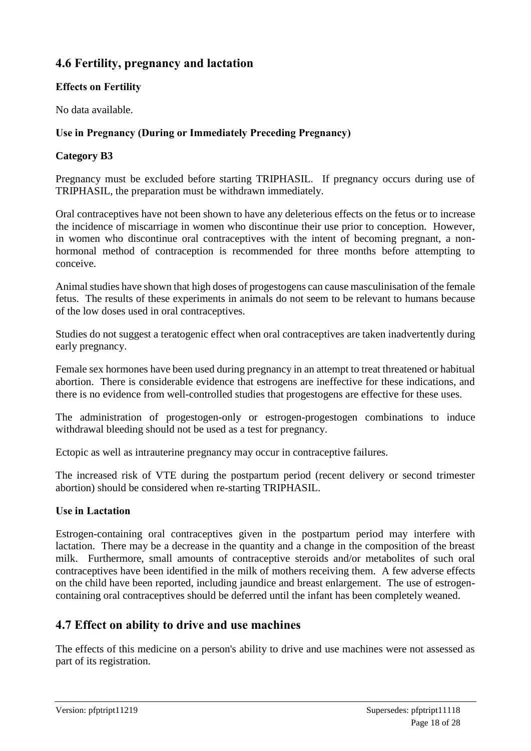# **4.6 Fertility, pregnancy and lactation**

### **Effects on Fertility**

No data available.

### **Use in Pregnancy (During or Immediately Preceding Pregnancy)**

### **Category B3**

Pregnancy must be excluded before starting TRIPHASIL. If pregnancy occurs during use of TRIPHASIL, the preparation must be withdrawn immediately.

Oral contraceptives have not been shown to have any deleterious effects on the fetus or to increase the incidence of miscarriage in women who discontinue their use prior to conception. However, in women who discontinue oral contraceptives with the intent of becoming pregnant, a nonhormonal method of contraception is recommended for three months before attempting to conceive.

Animal studies have shown that high doses of progestogens can cause masculinisation of the female fetus. The results of these experiments in animals do not seem to be relevant to humans because of the low doses used in oral contraceptives.

Studies do not suggest a teratogenic effect when oral contraceptives are taken inadvertently during early pregnancy.

Female sex hormones have been used during pregnancy in an attempt to treat threatened or habitual abortion. There is considerable evidence that estrogens are ineffective for these indications, and there is no evidence from well-controlled studies that progestogens are effective for these uses.

The administration of progestogen-only or estrogen-progestogen combinations to induce withdrawal bleeding should not be used as a test for pregnancy.

Ectopic as well as intrauterine pregnancy may occur in contraceptive failures.

The increased risk of VTE during the postpartum period (recent delivery or second trimester abortion) should be considered when re-starting TRIPHASIL.

### **Use in Lactation**

Estrogen-containing oral contraceptives given in the postpartum period may interfere with lactation. There may be a decrease in the quantity and a change in the composition of the breast milk. Furthermore, small amounts of contraceptive steroids and/or metabolites of such oral contraceptives have been identified in the milk of mothers receiving them. A few adverse effects on the child have been reported, including jaundice and breast enlargement. The use of estrogencontaining oral contraceptives should be deferred until the infant has been completely weaned.

### **4.7 Effect on ability to drive and use machines**

The effects of this medicine on a person's ability to drive and use machines were not assessed as part of its registration.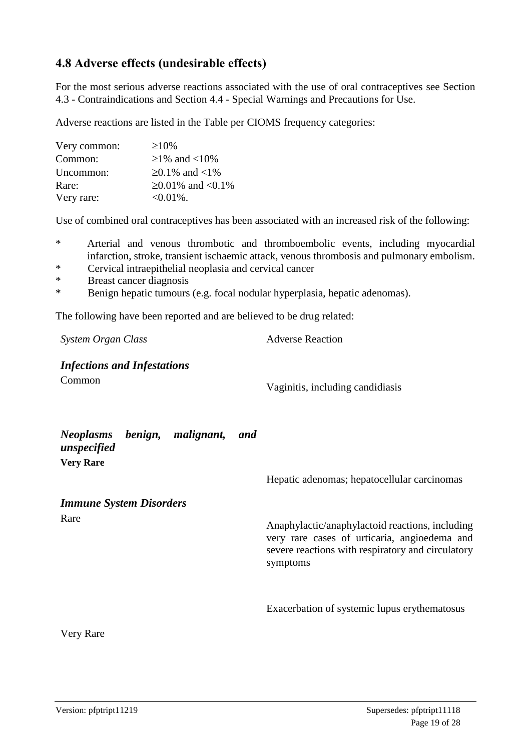### **4.8 Adverse effects (undesirable effects)**

For the most serious adverse reactions associated with the use of oral contraceptives see Section 4.3 - Contraindications and Section 4.4 - Special Warnings and Precautions for Use.

Adverse reactions are listed in the Table per CIOMS frequency categories:

| Very common: | $\geq 10\%$          |
|--------------|----------------------|
| Common:      | $≥1\%$ and <10\%     |
| Uncommon:    | $≥0.1\%$ and <1%     |
| Rare:        | $≥0.01\%$ and <0.1\% |
| Very rare:   | $<0.01\%$ .          |

Use of combined oral contraceptives has been associated with an increased risk of the following:

- \* Arterial and venous thrombotic and thromboembolic events, including myocardial infarction, stroke, transient ischaemic attack, venous thrombosis and pulmonary embolism.
- \* Cervical intraepithelial neoplasia and cervical cancer
- \* Breast cancer diagnosis
- Benign hepatic tumours (e.g. focal nodular hyperplasia, hepatic adenomas).

The following have been reported and are believed to be drug related:

**System Organ Class** Adverse Reaction

*Infections and Infestations* Common Vaginitis, including candidiasis

| Neoplasms benign, malignant,<br>unspecified<br><b>Very Rare</b> |  | and |                                                                                                                                                                  |
|-----------------------------------------------------------------|--|-----|------------------------------------------------------------------------------------------------------------------------------------------------------------------|
|                                                                 |  |     | Hepatic adenomas; hepatocellular carcinomas                                                                                                                      |
| <b>Immune System Disorders</b>                                  |  |     |                                                                                                                                                                  |
| Rare                                                            |  |     | Anaphylactic/anaphylactoid reactions, including<br>very rare cases of urticaria, angioedema and<br>severe reactions with respiratory and circulatory<br>symptoms |
|                                                                 |  |     | Exacerbation of systemic lupus erythematosus                                                                                                                     |

Very Rare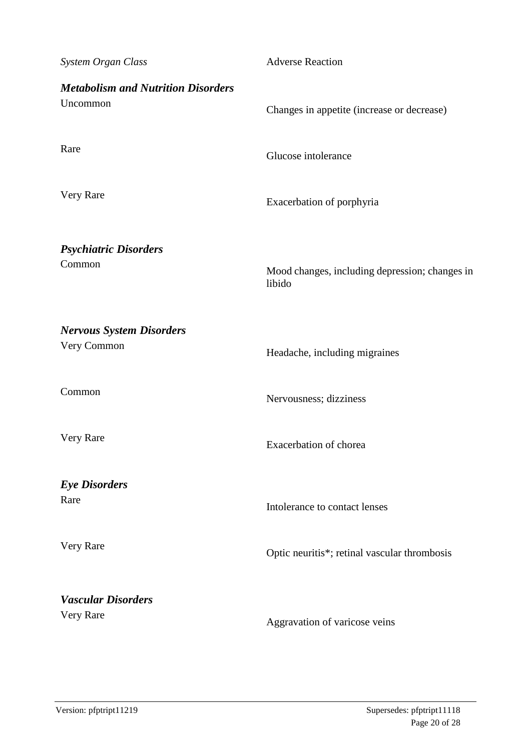| System Organ Class                                    | <b>Adverse Reaction</b>                                  |
|-------------------------------------------------------|----------------------------------------------------------|
| <b>Metabolism and Nutrition Disorders</b><br>Uncommon | Changes in appetite (increase or decrease)               |
| Rare                                                  | Glucose intolerance                                      |
| Very Rare                                             | Exacerbation of porphyria                                |
|                                                       |                                                          |
| <b>Psychiatric Disorders</b><br>Common                | Mood changes, including depression; changes in<br>libido |
| <b>Nervous System Disorders</b>                       |                                                          |
| Very Common                                           | Headache, including migraines                            |
| Common                                                | Nervousness; dizziness                                   |
| Very Rare                                             | Exacerbation of chorea                                   |
|                                                       |                                                          |
| <b>Eye Disorders</b><br>Rare                          | Intolerance to contact lenses                            |
| Very Rare                                             | Optic neuritis*; retinal vascular thrombosis             |
| <b>Vascular Disorders</b><br>Very Rare                | Aggravation of varicose veins                            |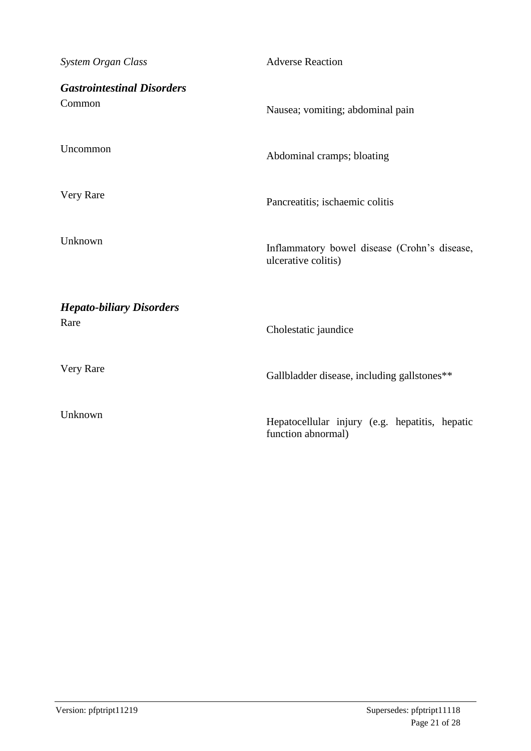| System Organ Class                      | <b>Adverse Reaction</b>                                              |
|-----------------------------------------|----------------------------------------------------------------------|
| <b>Gastrointestinal Disorders</b>       |                                                                      |
| Common                                  | Nausea; vomiting; abdominal pain                                     |
| Uncommon                                | Abdominal cramps; bloating                                           |
|                                         |                                                                      |
| Very Rare                               | Pancreatitis; ischaemic colitis                                      |
| Unknown                                 |                                                                      |
|                                         | Inflammatory bowel disease (Crohn's disease,<br>ulcerative colitis)  |
|                                         |                                                                      |
| <b>Hepato-biliary Disorders</b><br>Rare | Cholestatic jaundice                                                 |
|                                         |                                                                      |
| Very Rare                               | Gallbladder disease, including gallstones**                          |
| Unknown                                 |                                                                      |
|                                         | Hepatocellular injury (e.g. hepatitis, hepatic<br>function abnormal) |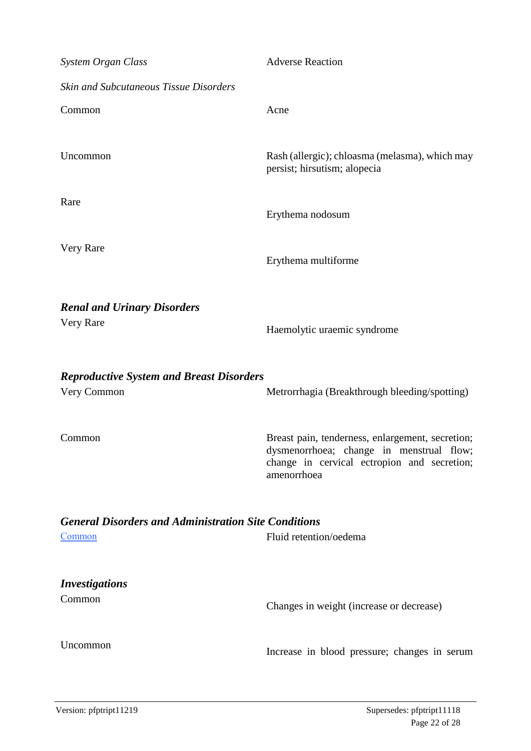| System Organ Class                                                           | <b>Adverse Reaction</b>                                                                                                                                    |
|------------------------------------------------------------------------------|------------------------------------------------------------------------------------------------------------------------------------------------------------|
| <b>Skin and Subcutaneous Tissue Disorders</b>                                |                                                                                                                                                            |
| Common                                                                       | Acne                                                                                                                                                       |
| Uncommon                                                                     | Rash (allergic); chloasma (melasma), which may<br>persist; hirsutism; alopecia                                                                             |
| Rare                                                                         | Erythema nodosum                                                                                                                                           |
| Very Rare                                                                    | Erythema multiforme                                                                                                                                        |
| <b>Renal and Urinary Disorders</b><br>Very Rare                              | Haemolytic uraemic syndrome                                                                                                                                |
| <b>Reproductive System and Breast Disorders</b><br>Very Common               | Metrorrhagia (Breakthrough bleeding/spotting)                                                                                                              |
| Common                                                                       | Breast pain, tenderness, enlargement, secretion;<br>dysmenorrhoea; change in menstrual flow;<br>change in cervical ectropion and secretion;<br>amenorrhoea |
| <b>General Disorders and Administration Site Conditions</b><br><b>Common</b> | Fluid retention/oedema                                                                                                                                     |
| <b>Investigations</b><br>Common                                              | Changes in weight (increase or decrease)                                                                                                                   |
| Uncommon                                                                     |                                                                                                                                                            |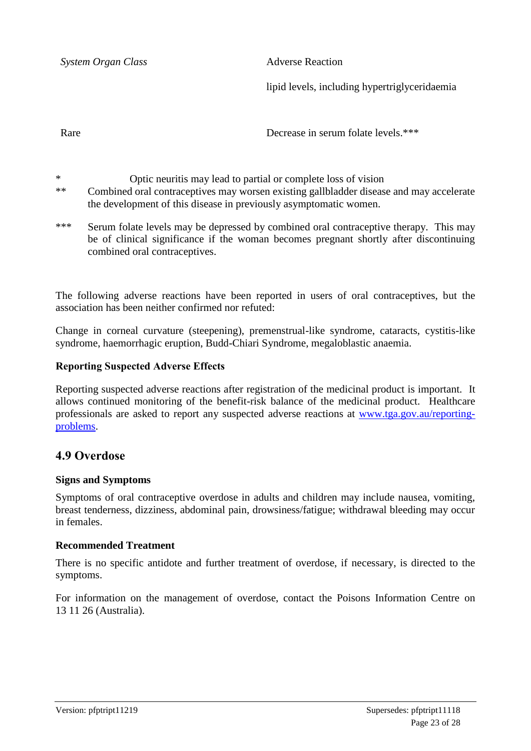**System Organ Class** Adverse Reaction

lipid levels, including hypertriglyceridaemia

Rare

Decrease in serum folate levels.\*\*\*

\* Optic neuritis may lead to partial or complete loss of vision

\*\* Combined oral contraceptives may worsen existing gallbladder disease and may accelerate the development of this disease in previously asymptomatic women.

\*\*\* Serum folate levels may be depressed by combined oral contraceptive therapy. This may be of clinical significance if the woman becomes pregnant shortly after discontinuing combined oral contraceptives.

The following adverse reactions have been reported in users of oral contraceptives, but the association has been neither confirmed nor refuted:

Change in corneal curvature (steepening), premenstrual-like syndrome, cataracts, cystitis-like syndrome, haemorrhagic eruption, Budd-Chiari Syndrome, megaloblastic anaemia.

### **Reporting Suspected Adverse Effects**

Reporting suspected adverse reactions after registration of the medicinal product is important. It allows continued monitoring of the benefit-risk balance of the medicinal product. Healthcare professionals are asked to report any suspected adverse reactions at [www.tga.gov.au/reporting](http://www.tga.gov.au/reporting-problems)[problems.](http://www.tga.gov.au/reporting-problems)

### **4.9 Overdose**

#### **Signs and Symptoms**

Symptoms of oral contraceptive overdose in adults and children may include nausea, vomiting, breast tenderness, dizziness, abdominal pain, drowsiness/fatigue; withdrawal bleeding may occur in females.

#### **Recommended Treatment**

There is no specific antidote and further treatment of overdose, if necessary, is directed to the symptoms.

For information on the management of overdose, contact the Poisons Information Centre on 13 11 26 (Australia).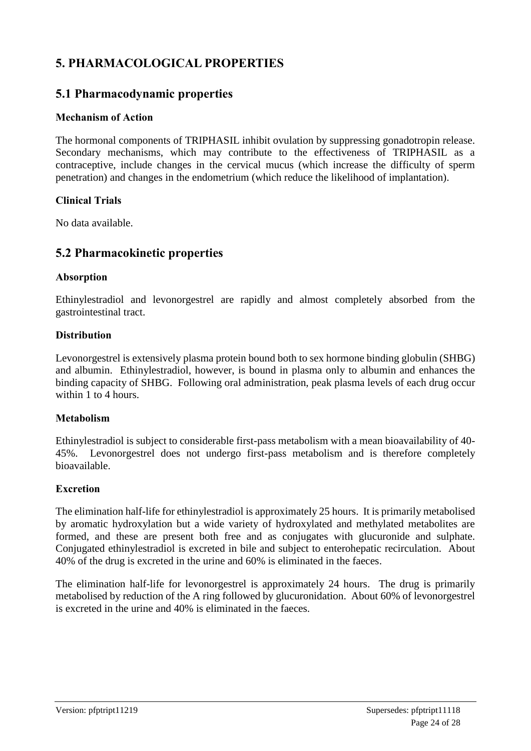# **5. PHARMACOLOGICAL PROPERTIES**

### **5.1 Pharmacodynamic properties**

### **Mechanism of Action**

The hormonal components of TRIPHASIL inhibit ovulation by suppressing gonadotropin release. Secondary mechanisms, which may contribute to the effectiveness of TRIPHASIL as a contraceptive, include changes in the cervical mucus (which increase the difficulty of sperm penetration) and changes in the endometrium (which reduce the likelihood of implantation).

### **Clinical Trials**

No data available.

### **5.2 Pharmacokinetic properties**

### **Absorption**

Ethinylestradiol and levonorgestrel are rapidly and almost completely absorbed from the gastrointestinal tract.

### **Distribution**

Levonorgestrel is extensively plasma protein bound both to sex hormone binding globulin (SHBG) and albumin. Ethinylestradiol, however, is bound in plasma only to albumin and enhances the binding capacity of SHBG. Following oral administration, peak plasma levels of each drug occur within 1 to 4 hours.

### **Metabolism**

Ethinylestradiol is subject to considerable first-pass metabolism with a mean bioavailability of 40- 45%. Levonorgestrel does not undergo first-pass metabolism and is therefore completely bioavailable.

### **Excretion**

The elimination half-life for ethinylestradiol is approximately 25 hours. It is primarily metabolised by aromatic hydroxylation but a wide variety of hydroxylated and methylated metabolites are formed, and these are present both free and as conjugates with glucuronide and sulphate. Conjugated ethinylestradiol is excreted in bile and subject to enterohepatic recirculation. About 40% of the drug is excreted in the urine and 60% is eliminated in the faeces.

The elimination half-life for levonorgestrel is approximately 24 hours. The drug is primarily metabolised by reduction of the A ring followed by glucuronidation. About 60% of levonorgestrel is excreted in the urine and 40% is eliminated in the faeces.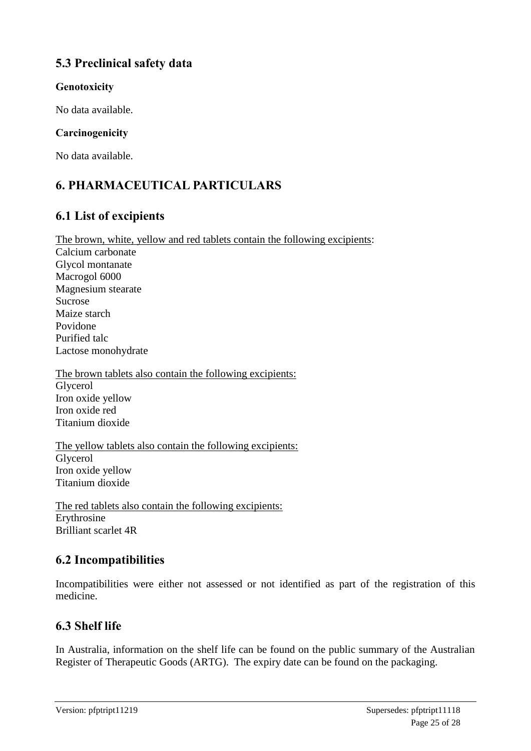# **5.3 Preclinical safety data**

### **Genotoxicity**

No data available.

### **Carcinogenicity**

No data available.

# **6. PHARMACEUTICAL PARTICULARS**

# **6.1 List of excipients**

The brown, white, yellow and red tablets contain the following excipients: Calcium carbonate Glycol montanate Macrogol 6000 Magnesium stearate Sucrose Maize starch Povidone Purified talc Lactose monohydrate

The brown tablets also contain the following excipients: Glycerol Iron oxide yellow Iron oxide red Titanium dioxide

The yellow tablets also contain the following excipients: Glycerol Iron oxide yellow Titanium dioxide

The red tablets also contain the following excipients: Erythrosine Brilliant scarlet 4R

# **6.2 Incompatibilities**

Incompatibilities were either not assessed or not identified as part of the registration of this medicine.

# **6.3 Shelf life**

In Australia, information on the shelf life can be found on the public summary of the Australian Register of Therapeutic Goods (ARTG). The expiry date can be found on the packaging.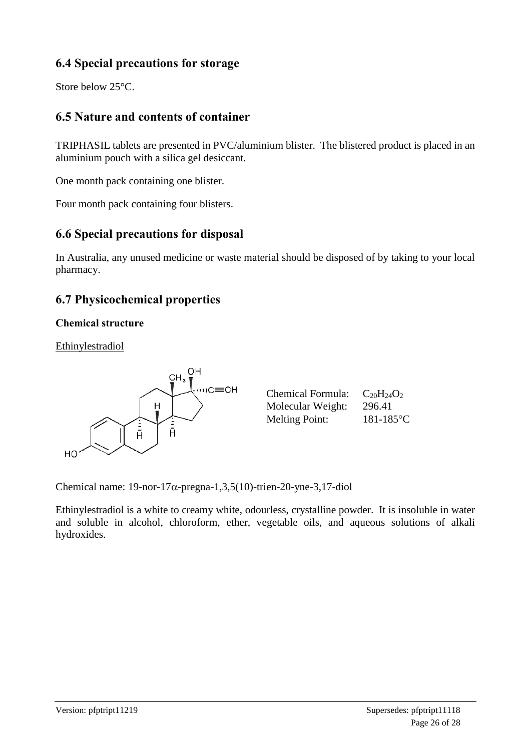# **6.4 Special precautions for storage**

Store below 25°C.

# **6.5 Nature and contents of container**

TRIPHASIL tablets are presented in PVC/aluminium blister. The blistered product is placed in an aluminium pouch with a silica gel desiccant.

One month pack containing one blister.

Four month pack containing four blisters.

# **6.6 Special precautions for disposal**

In Australia, any unused medicine or waste material should be disposed of by taking to your local pharmacy.

# **6.7 Physicochemical properties**

### **Chemical structure**

Ethinylestradiol



| <b>Chemical Formula:</b> | $C_{20}H_{24}O_2$ |
|--------------------------|-------------------|
| Molecular Weight:        | 296.41            |
| <b>Melting Point:</b>    | $181 - 185$ °C    |

Chemical name:  $19$ -nor- $17\alpha$ -pregna-1,3,5(10)-trien-20-yne-3,17-diol

Ethinylestradiol is a white to creamy white, odourless, crystalline powder. It is insoluble in water and soluble in alcohol, chloroform, ether, vegetable oils, and aqueous solutions of alkali hydroxides.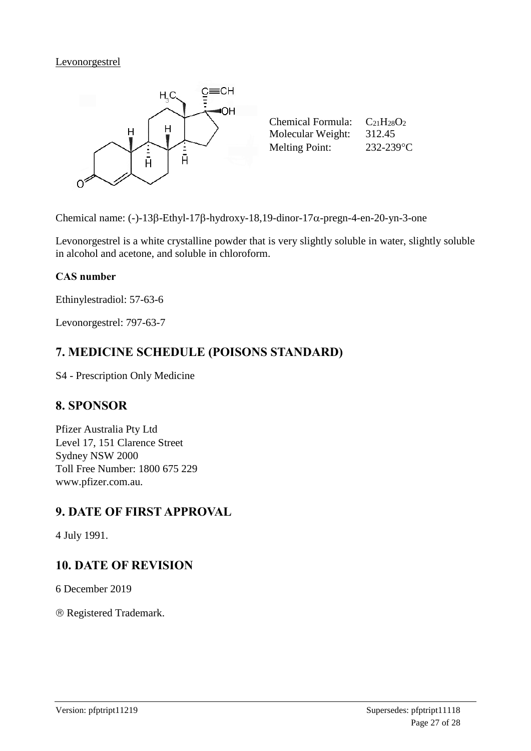### Levonorgestrel



Chemical name: (-)-13 $\beta$ -Ethyl-17 $\beta$ -hydroxy-18,19-dinor-17 $\alpha$ -pregn-4-en-20-yn-3-one

Levonorgestrel is a white crystalline powder that is very slightly soluble in water, slightly soluble in alcohol and acetone, and soluble in chloroform.

### **CAS number**

Ethinylestradiol: 57-63-6

Levonorgestrel: 797-63-7

# **7. MEDICINE SCHEDULE (POISONS STANDARD)**

S4 - Prescription Only Medicine

### **8. SPONSOR**

Pfizer Australia Pty Ltd Level 17, 151 Clarence Street Sydney NSW 2000 Toll Free Number: 1800 675 229 www.pfizer.com.au.

# **9. DATE OF FIRST APPROVAL**

4 July 1991.

# **10. DATE OF REVISION**

6 December 2019

Registered Trademark.